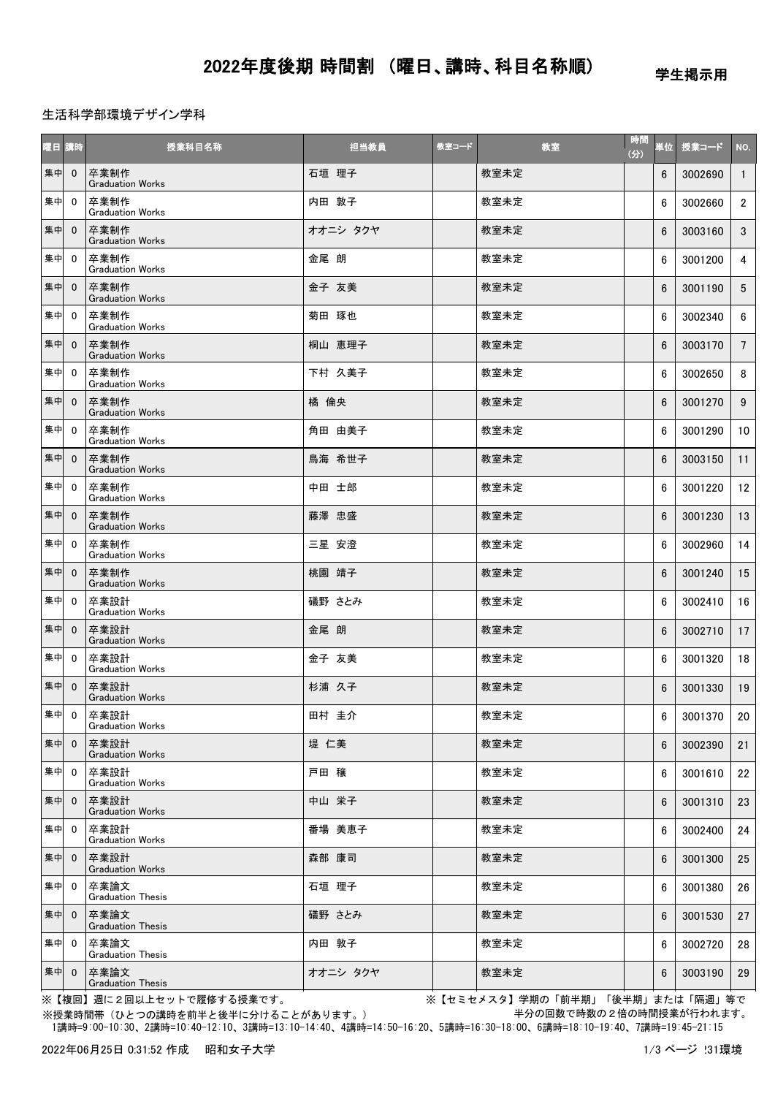## 生活科学部環境デザイン学科

| 曜日講時 |                | 授業科目名称                           | 担当教員     | 教室コード | 教室   | 時間<br>(3) | 単位 | 授業コード   | NO.             |
|------|----------------|----------------------------------|----------|-------|------|-----------|----|---------|-----------------|
| 集中   | $\mathbf{0}$   | 卒業制作<br><b>Graduation Works</b>  | 石垣 理子    |       | 教室未定 |           | 6  | 3002690 | $\mathbf{1}$    |
| 集中   | $\mathbf 0$    | 卒業制作<br><b>Graduation Works</b>  | 内田 敦子    |       | 教室未定 |           | 6  | 3002660 | $2^{\circ}$     |
| 集中   | $\mathbf{0}$   | 卒業制作<br><b>Graduation Works</b>  | オオニシ タクヤ |       | 教室未定 |           | 6  | 3003160 | 3 <sup>1</sup>  |
| 集中   | $\mathbf{0}$   | 卒業制作<br><b>Graduation Works</b>  | 金尾 朗     |       | 教室未定 |           | 6  | 3001200 | 4               |
| 集中   | $\mathbf{0}$   | 卒業制作<br><b>Graduation Works</b>  | 金子 友美    |       | 教室未定 |           | 6  | 3001190 | $5\overline{)}$ |
| 集中   | $\mathbf{0}$   | 卒業制作<br><b>Graduation Works</b>  | 菊田 琢也    |       | 教室未定 |           | 6  | 3002340 | $6\phantom{.0}$ |
| 集中   | $\mathbf{0}$   | 卒業制作<br><b>Graduation Works</b>  | 桐山 恵理子   |       | 教室未定 |           | 6  | 3003170 | $7\overline{ }$ |
| 集中   | $\mathbf{0}$   | 卒業制作<br><b>Graduation Works</b>  | 下村 久美子   |       | 教室未定 |           | 6  | 3002650 | 8               |
| 集中   | $\mathbf{0}$   | 卒業制作<br><b>Graduation Works</b>  | 橘倫央      |       | 教室未定 |           | 6  | 3001270 | 9               |
| 集中   | $\mathbf{0}$   | 卒業制作<br><b>Graduation Works</b>  | 角田 由美子   |       | 教室未定 |           | 6  | 3001290 | 10 <sup>1</sup> |
| 集中   | $\mathbf{0}$   | 卒業制作<br><b>Graduation Works</b>  | 鳥海 希世子   |       | 教室未定 |           | 6  | 3003150 | 11              |
| 集中   | $\mathbf{0}$   | 卒業制作<br><b>Graduation Works</b>  | 中田 士郎    |       | 教室未定 |           | 6  | 3001220 | 12              |
| 集中   | $\mathbf{0}$   | 卒業制作<br><b>Graduation Works</b>  | 藤澤 忠盛    |       | 教室未定 |           | 6  | 3001230 | 13              |
| 集中   | $\mathbf 0$    | 卒業制作<br><b>Graduation Works</b>  | 三星 安澄    |       | 教室未定 |           | 6  | 3002960 | 14              |
| 集中   | $\mathbf{0}$   | 卒業制作<br><b>Graduation Works</b>  | 桃園 靖子    |       | 教室未定 |           | 6  | 3001240 | 15              |
| 集中   | $\mathbf{0}$   | 卒業設計<br><b>Graduation Works</b>  | 礒野 さとみ   |       | 教室未定 |           | 6  | 3002410 | 16              |
| 集中   | $\mathbf 0$    | 卒業設計<br><b>Graduation Works</b>  | 金尾 朗     |       | 教室未定 |           | 6  | 3002710 | 17              |
| 集中   | $\mathbf{0}$   | 卒業設計<br><b>Graduation Works</b>  | 金子 友美    |       | 教室未定 |           | 6  | 3001320 | 18              |
| 集中   | $\mathbf{0}$   | 卒業設計<br><b>Graduation Works</b>  | 杉浦 久子    |       | 教室未定 |           | 6  | 3001330 | 19              |
| 集中   | $\mathbf{0}$   | 卒業設計<br><b>Graduation Works</b>  | 田村 圭介    |       | 教室未定 |           | 6  | 3001370 | 20              |
| 集中   | $\mathbf{0}$   | 卒業設計<br><b>Graduation Works</b>  | 堤仁美      |       | 教室未定 |           | 6  | 3002390 | 21              |
| 集中   | $\mathbf 0$    | 卒業設計<br><b>Graduation Works</b>  | 戸田 穣     |       | 教室未定 |           | 6  | 3001610 | 22              |
| 集中   | $\mathbf{0}$   | 卒業設計<br><b>Graduation Works</b>  | 中山 栄子    |       | 教室未定 |           | 6  | 3001310 | 23              |
| 集中   | $\mathbf{0}$   | 卒業設計<br><b>Graduation Works</b>  | 番場 美恵子   |       | 教室未定 |           | 6  | 3002400 | 24              |
| 集中   | $\mathbf{0}$   | 卒業設計<br><b>Graduation Works</b>  | 森部 康司    |       | 教室未定 |           | 6  | 3001300 | 25              |
| 集中   | $\mathbf{0}$   | 卒業論文<br><b>Graduation Thesis</b> | 石垣 理子    |       | 教室未定 |           | 6  | 3001380 | 26              |
| 集中   | $\mathbf{0}$   | 卒業論文<br><b>Graduation Thesis</b> | 礒野 さとみ   |       | 教室未定 |           | 6  | 3001530 | 27              |
| 集中   | $\overline{0}$ | 卒業論文<br><b>Graduation Thesis</b> | 内田 敦子    |       | 教室未定 |           | 6  | 3002720 | 28              |
| 集中   | $\mathbf{0}$   | 卒業論文<br><b>Graduation Thesis</b> | オオニシ タクヤ |       | 教室未定 |           | 6  | 3003190 | 29              |

※【複回】週に2回以上セットで履修する授業です。 インファイン インスタン ※【セミセメスタ】学期の「前半期」「後半期」または「隔週」等で 半分の回数で時数の2倍の時間授業が行われます。

 1講時=9:00-10:30、2講時=10:40-12:10、3講時=13:10-14:40、4講時=14:50-16:20、5講時=16:30-18:00、6講時=18:10-19:40、7講時=19:45-21:15 ※授業時間帯(ひとつの講時を前半と後半に分けることがあります。)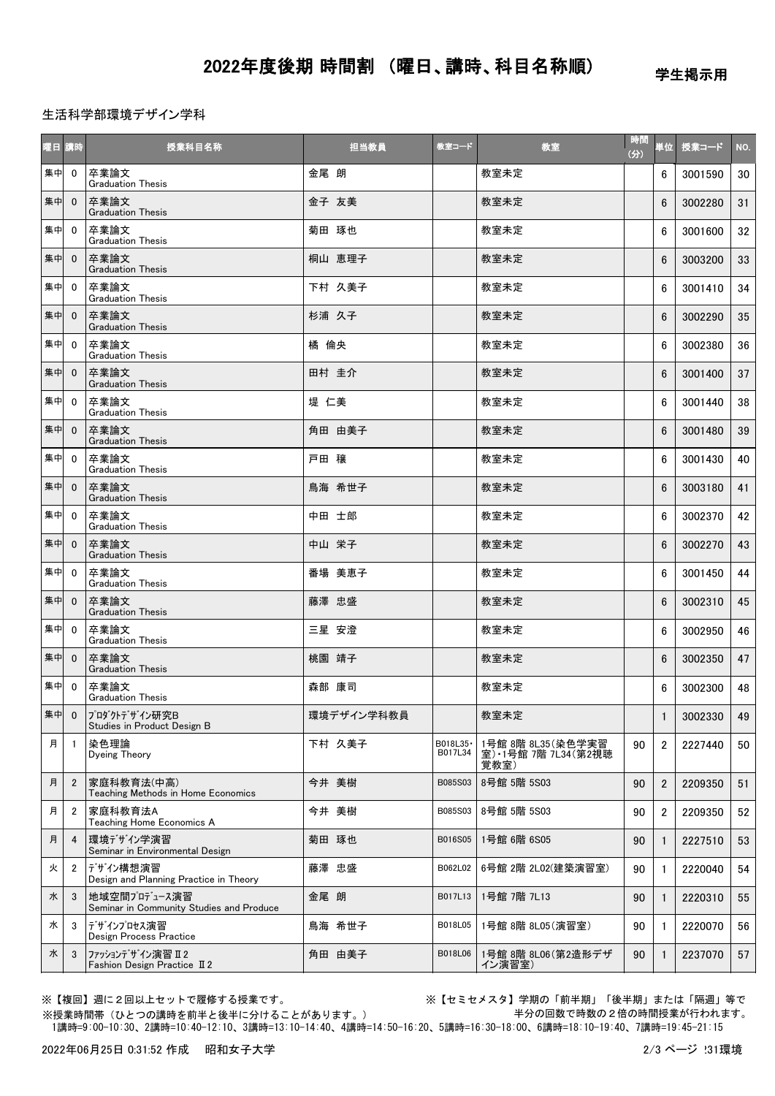学生掲示用

生活科学部環境デザイン学科

| 曜日 講時 |                | 授業科目名称                                                   |       | 担当教員       | 教室コード                | 教室                                                 | 時間<br>(3) |                | 単位 授業コード | NO. |
|-------|----------------|----------------------------------------------------------|-------|------------|----------------------|----------------------------------------------------|-----------|----------------|----------|-----|
| 集中    | $\mathbf 0$    | 卒業論文<br><b>Graduation Thesis</b>                         | 金尾 朗  |            |                      | 教室未定                                               |           | 6              | 3001590  | 30  |
| 集中    | $\mathbf{0}$   | 卒業論文<br><b>Graduation Thesis</b>                         | 金子 友美 |            |                      | 教室未定                                               |           | 6              | 3002280  | 31  |
| 集中    | $\mathbf 0$    | 卒業論文<br><b>Graduation Thesis</b>                         | 菊田 琢也 |            |                      | 教室未定                                               |           | 6              | 3001600  | 32  |
| 集中    | $\mathbf{0}$   | 卒業論文<br><b>Graduation Thesis</b>                         |       | 桐山 恵理子     |                      | 教室未定                                               |           | 6              | 3003200  | 33  |
| 集中    | $\mathbf{0}$   | 卒業論文<br><b>Graduation Thesis</b>                         |       | 下村 久美子     |                      | 教室未定                                               |           | 6              | 3001410  | 34  |
| 集中    | $\mathbf{0}$   | 卒業論文<br><b>Graduation Thesis</b>                         | 杉浦 久子 |            |                      | 教室未定                                               |           | 6              | 3002290  | 35  |
| 集中    | $\mathbf 0$    | 卒業論文<br><b>Graduation Thesis</b>                         | 橘倫央   |            |                      | 教室未定                                               |           | 6              | 3002380  | 36  |
| 集中    | $\mathbf{0}$   | 卒業論文<br><b>Graduation Thesis</b>                         | 田村 圭介 |            |                      | 教室未定                                               |           | 6              | 3001400  | 37  |
| 集中    | $\mathbf{0}$   | 卒業論文<br><b>Graduation Thesis</b>                         | 堤 仁美  |            |                      | 教室未定                                               |           | 6              | 3001440  | 38  |
| 集中    | $\mathbf{0}$   | 卒業論文<br><b>Graduation Thesis</b>                         |       | 角田 由美子     |                      | 教室未定                                               |           | 6              | 3001480  | 39  |
| 集中    | $\mathbf 0$    | 卒業論文<br><b>Graduation Thesis</b>                         | 戸田 穣  |            |                      | 教室未定                                               |           | 6              | 3001430  | 40  |
| 集中    | $\mathbf{0}$   | 卒業論文<br><b>Graduation Thesis</b>                         |       | 鳥海 希世子     |                      | 教室未定                                               |           | 6              | 3003180  | 41  |
| 集中    | $\mathbf 0$    | 卒業論文<br><b>Graduation Thesis</b>                         | 中田 士郎 |            |                      | 教室未定                                               |           | 6              | 3002370  | 42  |
| 集中    | $\mathbf 0$    | 卒業論文<br><b>Graduation Thesis</b>                         | 中山 栄子 |            |                      | 教室未定                                               |           | 6              | 3002270  | 43  |
| 集中    | $\mathbf{0}$   | 卒業論文<br><b>Graduation Thesis</b>                         |       | 番場 美恵子     |                      | 教室未定                                               |           | 6              | 3001450  | 44  |
| 集中    | $\mathbf{0}$   | 卒業論文<br><b>Graduation Thesis</b>                         | 藤澤 忠盛 |            |                      | 教室未定                                               |           | 6              | 3002310  | 45  |
| 集中    | $\mathbf{0}$   | 卒業論文<br><b>Graduation Thesis</b>                         | 三星 安澄 |            |                      | 教室未定                                               |           | 6              | 3002950  | 46  |
| 集中    | $\mathbf{0}$   | 卒業論文<br><b>Graduation Thesis</b>                         | 桃園 靖子 |            |                      | 教室未定                                               |           | 6              | 3002350  | 47  |
| 集中    | $\mathbf{0}$   | 卒業論文<br><b>Graduation Thesis</b>                         | 森部 康司 |            |                      | 教室未定                                               |           | 6              | 3002300  | 48  |
|       |                | 集中 0 7ロダクトデザイン研究B<br>Studies in Product Design B         |       | 環境デザイン学科教員 |                      | 教室未定                                               |           | $\mathbf{1}$   | 3002330  | 49  |
| 月     | $\mathbf{1}$   | 染色理論<br>Dyeing Theory                                    |       | 下村 久美子     | B018L35 ·<br>B017L34 | 1号館 8階 8L35 (染色学実習<br>室) 1号館 7階 7L34 (第2視聴<br>覚教室) | 90        | $\overline{2}$ | 2227440  | 50  |
| 月     | $\overline{2}$ | 家庭科教育法(中高)<br>Teaching Methods in Home Economics         | 今井 美樹 |            | B085S03              | 8号館 5階 5S03                                        | 90        | 2              | 2209350  | 51  |
| 月     | $\overline{2}$ | 家庭科教育法A<br>Teaching Home Economics A                     | 今井 美樹 |            | B085S03              | 8号館 5階 5S03                                        | 90        | $\overline{2}$ | 2209350  | 52  |
| 月     | 4              | 環境デザイン学演習<br>Seminar in Environmental Design             | 菊田 琢也 |            | B016S05              | 1号館 6階 6S05                                        | 90        |                | 2227510  | 53  |
| 火     | $\overline{2}$ | デザイン構想演習<br>Design and Planning Practice in Theory       | 藤澤 忠盛 |            | B062L02              | 6号館 2階 2L02(建築演習室)                                 | 90        | $\mathbf{1}$   | 2220040  | 54  |
| 水     | 3              | 地域空間プロデュース演習<br>Seminar in Community Studies and Produce | 金尾 朗  |            | B017L13              | 1号館 7階 7L13                                        | 90        | $\mathbf{1}$   | 2220310  | 55  |
| 水     | 3              | デザインプロセス演習<br>Design Process Practice                    |       | 鳥海 希世子     | B018L05              | 1号館 8階 8L05(演習室)                                   | 90        | 1              | 2220070  | 56  |
| 水     | 3              | ファッションデザイン演習 Ⅱ2<br>Fashion Design Practice II 2          |       | 角田 由美子     | B018L06              | 1号館 8階 8L06 (第2造形デザ<br>イン演習室)                      | 90        | 1              | 2237070  | 57  |

※【複回】週に2回以上セットで履修する授業です。 ※【セミセメスタ】学期の「前半期」「後半期」または「隔週」等で 半分の回数で時数の2倍の時間授業が行われます。

 1講時=9:00-10:30、2講時=10:40-12:10、3講時=13:10-14:40、4講時=14:50-16:20、5講時=16:30-18:00、6講時=18:10-19:40、7講時=19:45-21:15 ※授業時間帯(ひとつの講時を前半と後半に分けることがあります。)